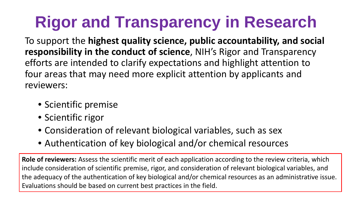# **Rigor and Transparency in Research**

To support the **highest quality science, public accountability, and social responsibility in the conduct of science**, NIH's Rigor and Transparency efforts are intended to clarify expectations and highlight attention to four areas that may need more explicit attention by applicants and reviewers:

- Scientific premise
- Scientific rigor
- Consideration of relevant biological variables, such as sex
- Authentication of key biological and/or chemical resources

**Role of reviewers:** Assess the scientific merit of each application according to the review criteria, which include consideration of scientific premise, rigor, and consideration of relevant biological variables, and the adequacy of the authentication of key biological and/or chemical resources as an administrative issue. Evaluations should be based on current best practices in the field.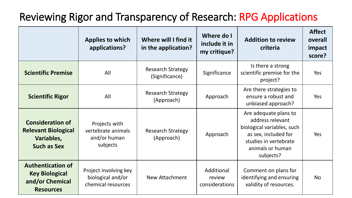#### Reviewing Rigor and Transparency of Research: RPG Applications

|                                                                                           | <b>Applies to which</b><br>applications?                         | Where will I find it<br>in the application? | Where do I<br>include it in<br>my critique? | <b>Addition to review</b><br>criteria                                                                                                                     | <b>Affect</b><br>overall<br>impact<br>score? |
|-------------------------------------------------------------------------------------------|------------------------------------------------------------------|---------------------------------------------|---------------------------------------------|-----------------------------------------------------------------------------------------------------------------------------------------------------------|----------------------------------------------|
| <b>Scientific Premise</b>                                                                 | All                                                              | <b>Research Strategy</b><br>(Significance)  | Significance                                | Is there a strong<br>scientific premise for the<br>project?                                                                                               | Yes                                          |
| <b>Scientific Rigor</b>                                                                   | All                                                              | <b>Research Strategy</b><br>(Approach)      | Approach                                    | Are there strategies to<br>ensure a robust and<br>unbiased approach?                                                                                      | Yes                                          |
| <b>Consideration of</b><br><b>Relevant Biological</b><br>Variables,<br><b>Such as Sex</b> | Projects with<br>vertebrate animals<br>and/or human<br>subjects  | <b>Research Strategy</b><br>(Approach)      | Approach                                    | Are adequate plans to<br>address relevant<br>biological variables, such<br>as sex, included for<br>studies in vertebrate<br>animals or human<br>subjects? | Yes                                          |
| <b>Authentication of</b><br><b>Key Biological</b><br>and/or Chemical<br><b>Resources</b>  | Project involving key<br>biological and/or<br>chemical resources | New Attachment                              | Additional<br>review<br>considerations      | Comment on plans for<br>identifying and ensuring<br>validity of resources.                                                                                | <b>No</b>                                    |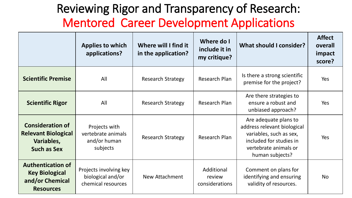#### Reviewing Rigor and Transparency of Research: Mentored Career Development Applications

|                                                                                           | <b>Applies to which</b><br>applications?                          | Where will I find it<br>in the application? | Where do I<br>include it in<br>my critique? | What should I consider?                                                                                                                                | <b>Affect</b><br>overall<br>impact<br>score? |
|-------------------------------------------------------------------------------------------|-------------------------------------------------------------------|---------------------------------------------|---------------------------------------------|--------------------------------------------------------------------------------------------------------------------------------------------------------|----------------------------------------------|
| <b>Scientific Premise</b>                                                                 | All                                                               | <b>Research Strategy</b>                    | Research Plan                               | Is there a strong scientific<br>premise for the project?                                                                                               | Yes                                          |
| <b>Scientific Rigor</b>                                                                   | All                                                               | <b>Research Strategy</b>                    | Research Plan                               | Are there strategies to<br>ensure a robust and<br>unbiased approach?                                                                                   | Yes                                          |
| <b>Consideration of</b><br><b>Relevant Biological</b><br>Variables,<br><b>Such as Sex</b> | Projects with<br>vertebrate animals<br>and/or human<br>subjects   | <b>Research Strategy</b>                    | Research Plan                               | Are adequate plans to<br>address relevant biological<br>variables, such as sex,<br>included for studies in<br>vertebrate animals or<br>human subjects? | Yes                                          |
| <b>Authentication of</b><br><b>Key Biological</b><br>and/or Chemical<br><b>Resources</b>  | Projects involving key<br>biological and/or<br>chemical resources | New Attachment                              | Additional<br>review<br>considerations      | Comment on plans for<br>identifying and ensuring<br>validity of resources.                                                                             | <b>No</b>                                    |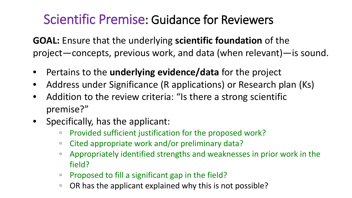### Scientific Premise: Guidance for Reviewers

**GOAL:** Ensure that the underlying **scientific foundation** of the project—concepts, previous work, and data (when relevant)—is sound.

- Pertains to the **underlying evidence/data** for the project
- Address under Significance (R applications) or Research plan (Ks)
- Addition to the review criteria: "Is there a strong scientific premise?"
- Specifically, has the applicant:
	- Provided sufficient justification for the proposed work?
	- □ Cited appropriate work and/or preliminary data?
	- Appropriately identified strengths and weaknesses in prior work in the field?
	- □ Proposed to fill a significant gap in the field?
	- OR has the applicant explained why this is not possible?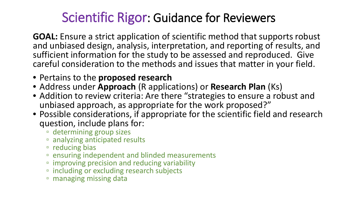### Scientific Rigor: Guidance for Reviewers

**GOAL:** Ensure a strict application of scientific method that supports robust and unbiased design, analysis, interpretation, and reporting of results, and sufficient information for the study to be assessed and reproduced. Give careful consideration to the methods and issues that matter in your field.

- Pertains to the **proposed research**
- Address under **Approach** (R applications) or **Research Plan** (Ks)
- Addition to review criteria: Are there "strategies to ensure a robust and unbiased approach, as appropriate for the work proposed?"
- Possible considerations, if appropriate for the scientific field and research question, include plans for:
	- determining group sizes
	- □ analyzing anticipated results
	- reducing bias
	- ensuring independent and blinded measurements
	- improving precision and reducing variability
	- including or excluding research subjects
	- managing missing data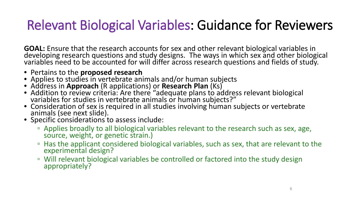### Relevant Biological Variables: Guidance for Reviewers

**GOAL:** Ensure that the research accounts for sex and other relevant biological variables in developing research questions and study designs. The ways in which sex and other biological variables need to be accounted for will differ across research questions and fields of study.

- Pertains to the **proposed research**
- Applies to studies in vertebrate animals and/or human subjects
- Address in **Approach** (R applications) or **Research Plan** (Ks)
- Addition to review criteria: Are there "adequate plans to address relevant biological<br>variables for studies in vertebrate animals or human subjects?"
- Consideration of sex is required in all studies involving human subjects or vertebrate animals (see next slide).
- Specific considerations to assess include:
	- Applies broadly to all biological variables relevant to the research such as sex, age, source, weight, or genetic strain.)
	- □ Has the applicant considered biological variables, such as sex, that are relevant to the experimental design?
	- Will relevant biological variables be controlled or factored into the study design appropriately?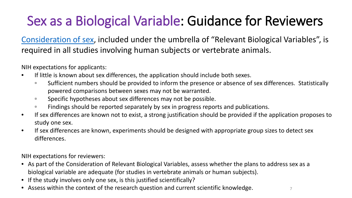# Sex as a Biological Variable: Guidance for Reviewers

[Consideration of sex,](http://orwh.od.nih.gov/sexinscience/overview/pdf/NOT-OD-15-102_Guidance.pdf) included under the umbrella of "Relevant Biological Variables", is required in all studies involving human subjects or vertebrate animals.

NIH expectations for applicants:

- If little is known about sex differences, the application should include both sexes.
	- □ Sufficient numbers should be provided to inform the presence or absence of sex differences. Statistically powered comparisons between sexes may not be warranted.
	- □ Specific hypotheses about sex differences may not be possible.
	- □ Findings should be reported separately by sex in progress reports and publications.
- If sex differences are known not to exist, a strong justification should be provided if the application proposes to study one sex.
- If sex differences are known, experiments should be designed with appropriate group sizes to detect sex differences.

NIH expectations for reviewers:

- As part of the Consideration of Relevant Biological Variables, assess whether the plans to address sex as a biological variable are adequate (for studies in vertebrate animals or human subjects).
- If the study involves only one sex, is this justified scientifically?
- Assess within the context of the research question and current scientific knowledge.  $\frac{7}{10}$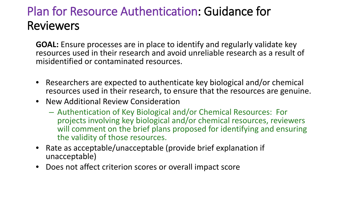#### Plan for Resource Authentication: Guidance for Reviewers

**GOAL:** Ensure processes are in place to identify and regularly validate key resources used in their research and avoid unreliable research as a result of misidentified or contaminated resources.

- Researchers are expected to authenticate key biological and/or chemical resources used in their research, to ensure that the resources are genuine.
- New Additional Review Consideration
	- Authentication of Key Biological and/or Chemical Resources: For projects involving key biological and/or chemical resources, reviewers will comment on the brief plans proposed for identifying and ensuring the validity of those resources.
- Rate as acceptable/unacceptable (provide brief explanation if unacceptable)
- Does not affect criterion scores or overall impact score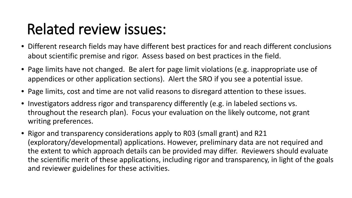# Related review issues:

- Different research fields may have different best practices for and reach different conclusions about scientific premise and rigor. Assess based on best practices in the field.
- Page limits have not changed. Be alert for page limit violations (e.g. inappropriate use of appendices or other application sections). Alert the SRO if you see a potential issue.
- Page limits, cost and time are not valid reasons to disregard attention to these issues.
- Investigators address rigor and transparency differently (e.g. in labeled sections vs. throughout the research plan). Focus your evaluation on the likely outcome, not grant writing preferences.
- Rigor and transparency considerations apply to R03 (small grant) and R21 (exploratory/developmental) applications. However, preliminary data are not required and the extent to which approach details can be provided may differ. Reviewers should evaluate the scientific merit of these applications, including rigor and transparency, in light of the goals and reviewer guidelines for these activities.